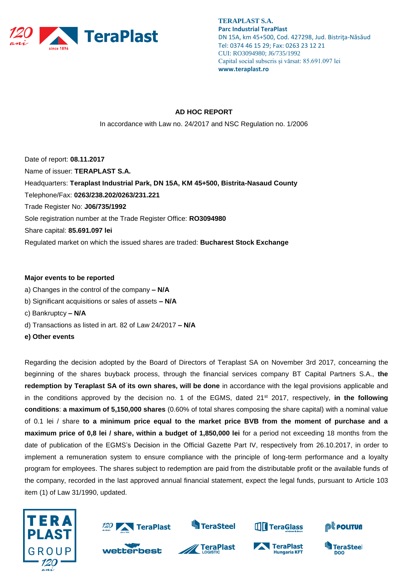

**TERAPLAST S.A. Parc Industrial TeraPlast** DN 15A, km 45+500, Cod. 427298, Jud. Bistriţa-Năsăud Tel: 0374 46 15 29; Fax: 0263 23 12 21 CUI: RO3094980; J6/735/1992 Capital social subscris și vărsat: 85.691.097 lei **www.teraplast.ro**

## **AD HOC REPORT**

In accordance with Law no. 24/2017 and NSC Regulation no. 1/2006

Date of report: **08.11.2017** Name of issuer: **TERAPLAST S.A.**  Headquarters: **Teraplast Industrial Park, DN 15A, KM 45+500, Bistrita-Nasaud County**  Telephone/Fax: **0263/238.202/0263/231.221**  Trade Register No: **J06/735/1992**  Sole registration number at the Trade Register Office: **RO3094980**  Share capital: **85.691.097 lei** Regulated market on which the issued shares are traded: **Bucharest Stock Exchange** 

## **Major events to be reported**

- a) Changes in the control of the company **– N/A**
- b) Significant acquisitions or sales of assets **– N/A**
- c) Bankruptcy **– N/A**
- d) Transactions as listed in art. 82 of Law 24/2017 **– N/A**
- **e) Other events**

Regarding the decision adopted by the Board of Directors of Teraplast SA on November 3rd 2017, concearning the beginning of the shares buyback process, through the financial services company BT Capital Partners S.A., **the redemption by Teraplast SA of its own shares, will be done** in accordance with the legal provisions applicable and in the conditions approved by the decision no. 1 of the EGMS, dated 21st 2017, respectively, **in the following conditions**: **a maximum of 5,150,000 shares** (0.60% of total shares composing the share capital) with a nominal value of 0.1 lei / share **to a minimum price equal to the market price BVB from the moment of purchase and a maximum price of 0,8 lei / share, within a budget of 1,850,000 lei** for a period not exceeding 18 months from the date of publication of the EGMS's Decision in the Official Gazette Part IV, respectively from 26.10.2017, in order to implement a remuneration system to ensure compliance with the principle of long-term performance and a loyalty program for employees. The shares subject to redemption are paid from the distributable profit or the available funds of the company, recorded in the last approved annual financial statement, expect the legal funds, pursuant to Article 103 item (1) of Law 31/1990, updated.





wetterbest



**S**TeraSteel



**Hungaria KFT** 



**DOO** 

TeraSteel